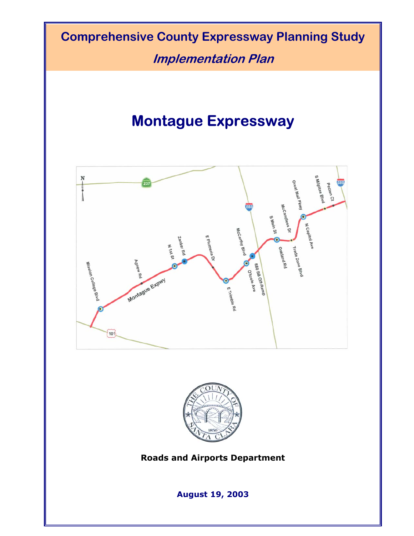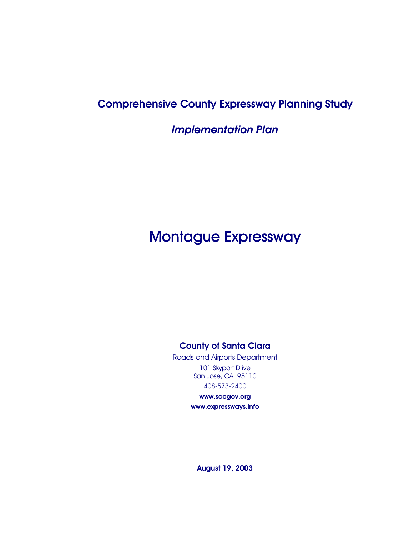# Comprehensive County Expressway Planning Study

*Implementation Plan* 

# Montague Expressway

## County of Santa Clara

Roads and Airports Department 101 Skyport Drive San Jose, CA 95110 408-573-2400

> www.sccgov.org www.expressways.info

August 19, 2003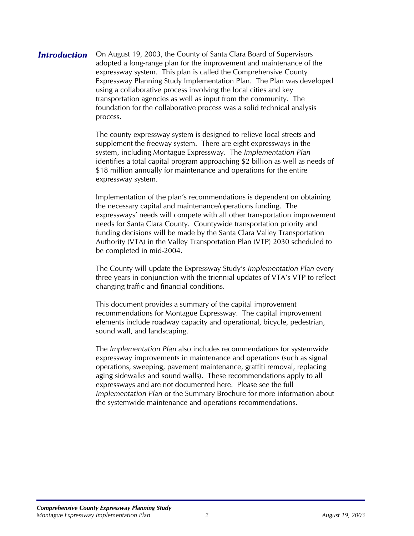**Introduction** On August 19, 2003, the County of Santa Clara Board of Supervisors adopted a long-range plan for the improvement and maintenance of the expressway system. This plan is called the Comprehensive County Expressway Planning Study Implementation Plan. The Plan was developed using a collaborative process involving the local cities and key transportation agencies as well as input from the community. The foundation for the collaborative process was a solid technical analysis process.

> The county expressway system is designed to relieve local streets and supplement the freeway system. There are eight expressways in the system, including Montague Expressway. The *Implementation Plan* identifies a total capital program approaching \$2 billion as well as needs of \$18 million annually for maintenance and operations for the entire expressway system.

> Implementation of the plan's recommendations is dependent on obtaining the necessary capital and maintenance/operations funding. The expressways' needs will compete with all other transportation improvement needs for Santa Clara County. Countywide transportation priority and funding decisions will be made by the Santa Clara Valley Transportation Authority (VTA) in the Valley Transportation Plan (VTP) 2030 scheduled to be completed in mid-2004.

> The County will update the Expressway Study's *Implementation Plan* every three years in conjunction with the triennial updates of VTA's VTP to reflect changing traffic and financial conditions.

This document provides a summary of the capital improvement recommendations for Montague Expressway. The capital improvement elements include roadway capacity and operational, bicycle, pedestrian, sound wall, and landscaping.

The *Implementation Plan* also includes recommendations for systemwide expressway improvements in maintenance and operations (such as signal operations, sweeping, pavement maintenance, graffiti removal, replacing aging sidewalks and sound walls). These recommendations apply to all expressways and are not documented here. Please see the full *Implementation Plan* or the Summary Brochure for more information about the systemwide maintenance and operations recommendations.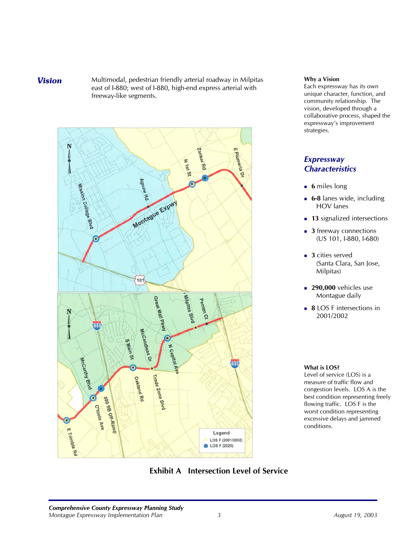**Vision** Multimodal, pedestrian friendly arterial roadway in Milpitas east of I-880; west of I-880, high-end express arterial with freeway-like segments.



### **Why a Vision**

Each expressway has its own unique character, function, and community relationship. The vision, developed through a collaborative process, shaped the expressway's improvement strategies.

### *Expressway Characteristics*

- **6** miles long
- **6-8** lanes wide, including HOV lanes
- **13** signalized intersections
- **3** freeway connections (US 101, I-880, I-680)
- **3** cities served (Santa Clara, San Jose, Milpitas)
- **290,000** vehicles use Montague daily
- **8** LOS F intersections in 2001/2002

### **What is LOS?**

Level of service (LOS) is a measure of traffic flow and congestion levels. LOS A is the best condition representing freely flowing traffic. LOS F is the worst condition representing excessive delays and jammed conditions.

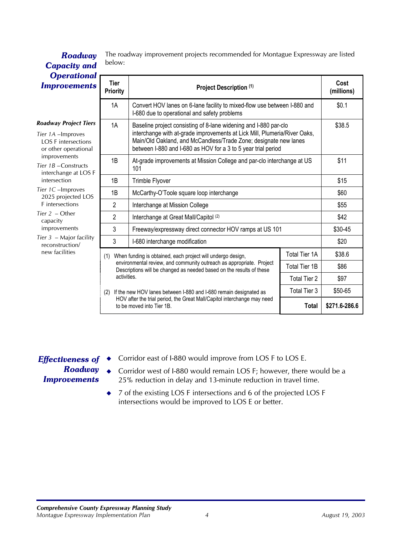| <b>Operational</b>                                                                                                                                                          |                                                                                                                                                                                                                    |                                                                                                                                                                                                                |                      |               |
|-----------------------------------------------------------------------------------------------------------------------------------------------------------------------------|--------------------------------------------------------------------------------------------------------------------------------------------------------------------------------------------------------------------|----------------------------------------------------------------------------------------------------------------------------------------------------------------------------------------------------------------|----------------------|---------------|
| <b>Improvements</b>                                                                                                                                                         | Tier<br><b>Priority</b>                                                                                                                                                                                            | Project Description (1)                                                                                                                                                                                        | Cost<br>(millions)   |               |
|                                                                                                                                                                             | 1A                                                                                                                                                                                                                 | Convert HOV lanes on 6-lane facility to mixed-flow use between I-880 and<br>I-680 due to operational and safety problems                                                                                       | \$0.1                |               |
| <b>Roadway Project Tiers</b>                                                                                                                                                | 1A                                                                                                                                                                                                                 | Baseline project consisting of 8-lane widening and I-880 par-clo                                                                                                                                               |                      | \$38.5        |
| Tier 1A - Improves<br><b>LOS F</b> intersections<br>or other operational                                                                                                    |                                                                                                                                                                                                                    | interchange with at-grade improvements at Lick Mill, Plumeria/River Oaks,<br>Main/Old Oakland, and McCandless/Trade Zone; designate new lanes<br>between I-880 and I-680 as HOV for a 3 to 5 year trial period |                      |               |
| improvements<br>Tier 1B-Constructs<br>interchange at LOS F                                                                                                                  | 1B                                                                                                                                                                                                                 | At-grade improvements at Mission College and par-clo interchange at US<br>101                                                                                                                                  | \$11                 |               |
| intersection                                                                                                                                                                | 1B                                                                                                                                                                                                                 | Trimble Flyover                                                                                                                                                                                                | \$15                 |               |
| Tier 1C-Improves<br>2025 projected LOS<br>F intersections<br>Tier $2$ – Other<br>capacity<br>improvements<br>Tier $3$ – Major facility<br>reconstruction/<br>new facilities | 1B                                                                                                                                                                                                                 | McCarthy-O'Toole square loop interchange                                                                                                                                                                       |                      | \$60          |
|                                                                                                                                                                             | $\overline{2}$                                                                                                                                                                                                     | Interchange at Mission College                                                                                                                                                                                 | \$55                 |               |
|                                                                                                                                                                             | 2                                                                                                                                                                                                                  | Interchange at Great Mall/Capitol (2)                                                                                                                                                                          |                      | \$42          |
|                                                                                                                                                                             | 3                                                                                                                                                                                                                  | Freeway/expressway direct connector HOV ramps at US 101                                                                                                                                                        |                      | \$30-45       |
|                                                                                                                                                                             | 3                                                                                                                                                                                                                  | I-680 interchange modification                                                                                                                                                                                 |                      | \$20          |
|                                                                                                                                                                             | When funding is obtained, each project will undergo design,<br>(1)<br>environmental review, and community outreach as appropriate. Project<br>Descriptions will be changed as needed based on the results of these |                                                                                                                                                                                                                | <b>Total Tier 1A</b> | \$38.6        |
|                                                                                                                                                                             |                                                                                                                                                                                                                    |                                                                                                                                                                                                                | Total Tier 1B        | \$86          |
|                                                                                                                                                                             | activities.<br><b>Total Tier 2</b>                                                                                                                                                                                 |                                                                                                                                                                                                                |                      | \$97          |
|                                                                                                                                                                             | <b>Total Tier 3</b><br>If the new HOV lanes between I-880 and I-680 remain designated as<br>(2)                                                                                                                    |                                                                                                                                                                                                                |                      | \$50-65       |
|                                                                                                                                                                             |                                                                                                                                                                                                                    | HOV after the trial period, the Great Mall/Capitol interchange may need<br>to be moved into Tier 1B.                                                                                                           | <b>Total</b>         | \$271.6-286.6 |

The roadway improvement projects recommended for Montague Expressway are listed *Roadway* The road *Capacity and* 

### *Effectiveness of Roadway Improvements*  $\blacklozenge$

- Corridor east of I-880 would improve from LOS F to LOS E.
- ◆ Corridor west of I-880 would remain LOS F; however, there would be a 25% reduction in delay and 13-minute reduction in travel time.
- $\bullet$ 7 of the existing LOS F intersections and 6 of the projected LOS F intersections would be improved to LOS E or better.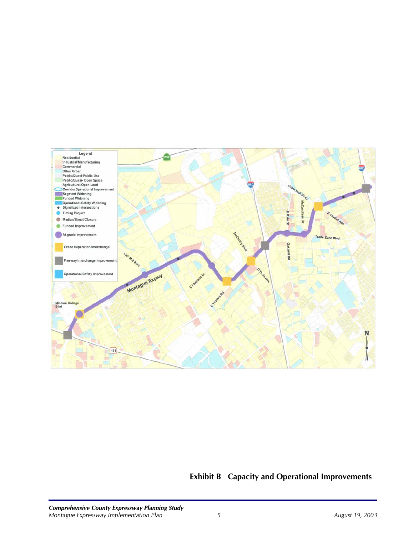

# **Exhibit B Capacity and Operational Improvements**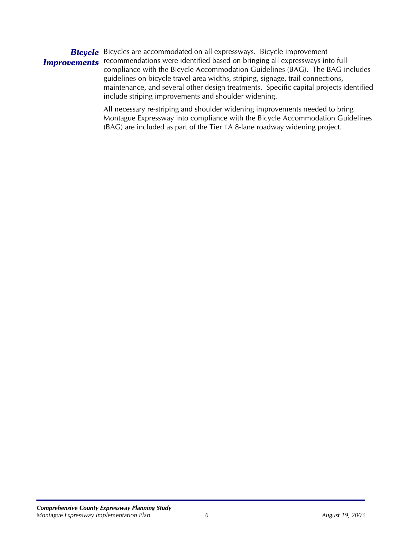*Bicycle* Bicycles are accommodated on all expressways. Bicycle improvement **Improvements** recommendations were identified based on bringing all expressways into full compliance with the Bicycle Accommodation Guidelines (BAG). The BAG includes guidelines on bicycle travel area widths, striping, signage, trail connections, maintenance, and several other design treatments. Specific capital projects identified include striping improvements and shoulder widening.

> All necessary re-striping and shoulder widening improvements needed to bring Montague Expressway into compliance with the Bicycle Accommodation Guidelines (BAG) are included as part of the Tier 1A 8-lane roadway widening project.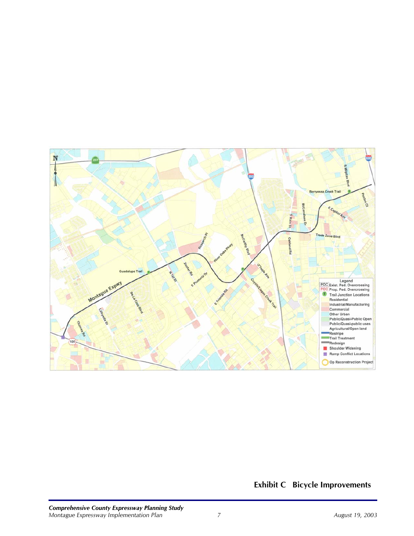

**Exhibit C Bicycle Improvements**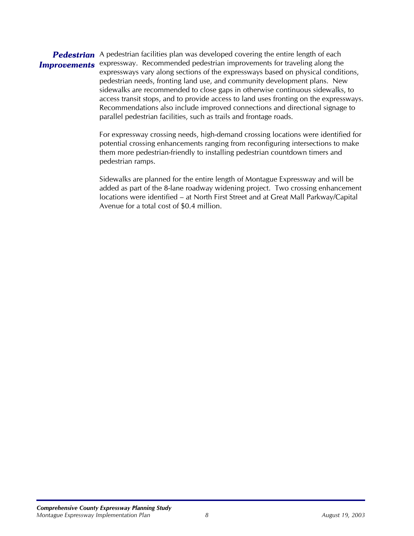### Pedestrian A pedestrian facilities plan was developed covering the entire length of each **Improvements** expressway. Recommended pedestrian improvements for traveling along the expressways vary along sections of the expressways based on physical conditions, pedestrian needs, fronting land use, and community development plans. New sidewalks are recommended to close gaps in otherwise continuous sidewalks, to access transit stops, and to provide access to land uses fronting on the expressways. Recommendations also include improved connections and directional signage to parallel pedestrian facilities, such as trails and frontage roads.

For expressway crossing needs, high-demand crossing locations were identified for potential crossing enhancements ranging from reconfiguring intersections to make them more pedestrian-friendly to installing pedestrian countdown timers and pedestrian ramps.

Sidewalks are planned for the entire length of Montague Expressway and will be added as part of the 8-lane roadway widening project. Two crossing enhancement locations were identified – at North First Street and at Great Mall Parkway/Capital Avenue for a total cost of \$0.4 million.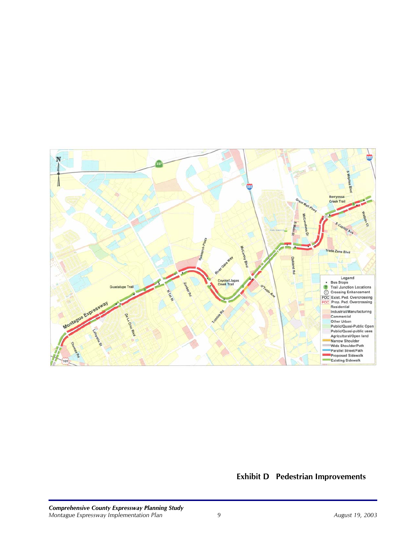

# **Exhibit D Pedestrian Improvements**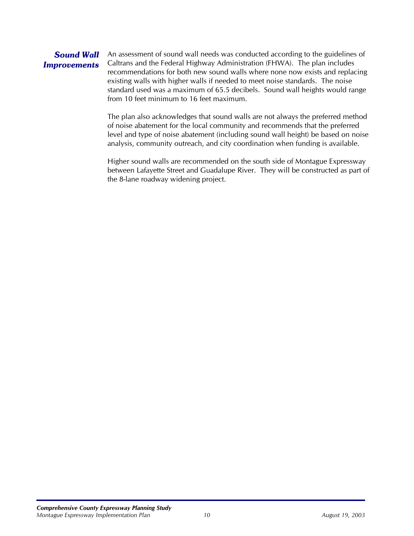### *Sound Wall Improvements*  An assessment of sound wall needs was conducted according to the guidelines of Caltrans and the Federal Highway Administration (FHWA). The plan includes recommendations for both new sound walls where none now exists and replacing existing walls with higher walls if needed to meet noise standards. The noise standard used was a maximum of 65.5 decibels. Sound wall heights would range

from 10 feet minimum to 16 feet maximum.

The plan also acknowledges that sound walls are not always the preferred method of noise abatement for the local community and recommends that the preferred level and type of noise abatement (including sound wall height) be based on noise analysis, community outreach, and city coordination when funding is available.

Higher sound walls are recommended on the south side of Montague Expressway between Lafayette Street and Guadalupe River. They will be constructed as part of the 8-lane roadway widening project.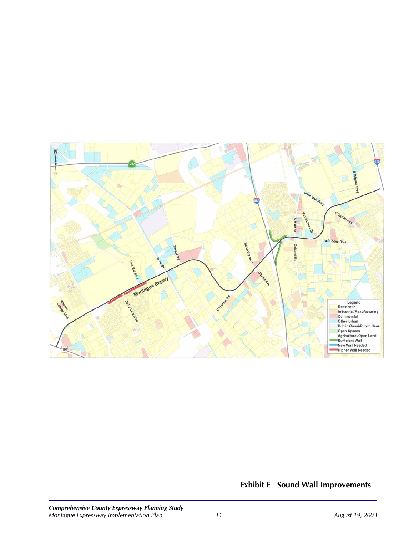

# **Exhibit E Sound Wall Improvements**